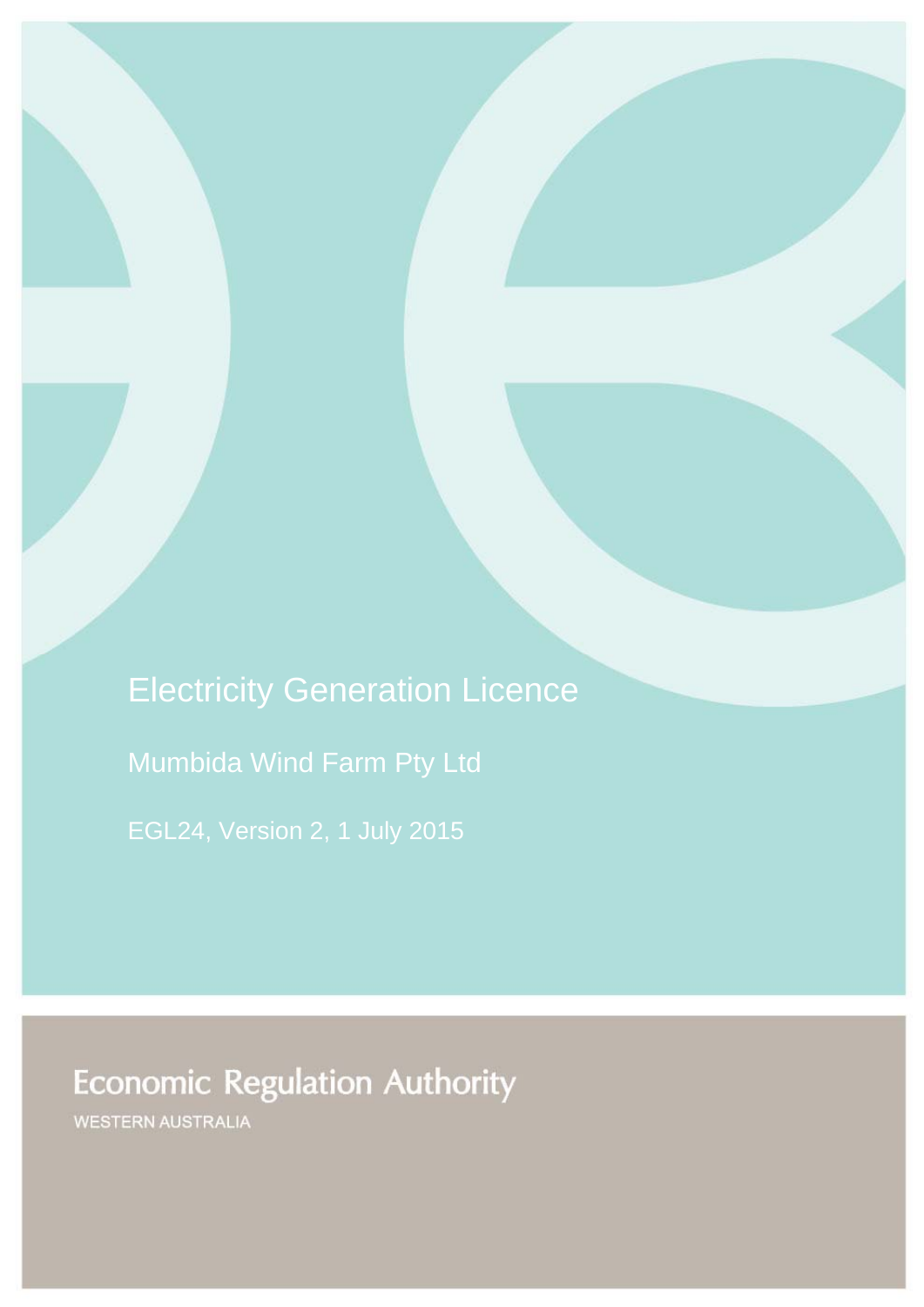Electricity Generation Licence Mumbida Wind Farm Pty Ltd

# **Economic Regulation Authority**

WESTERN AUSTRALIA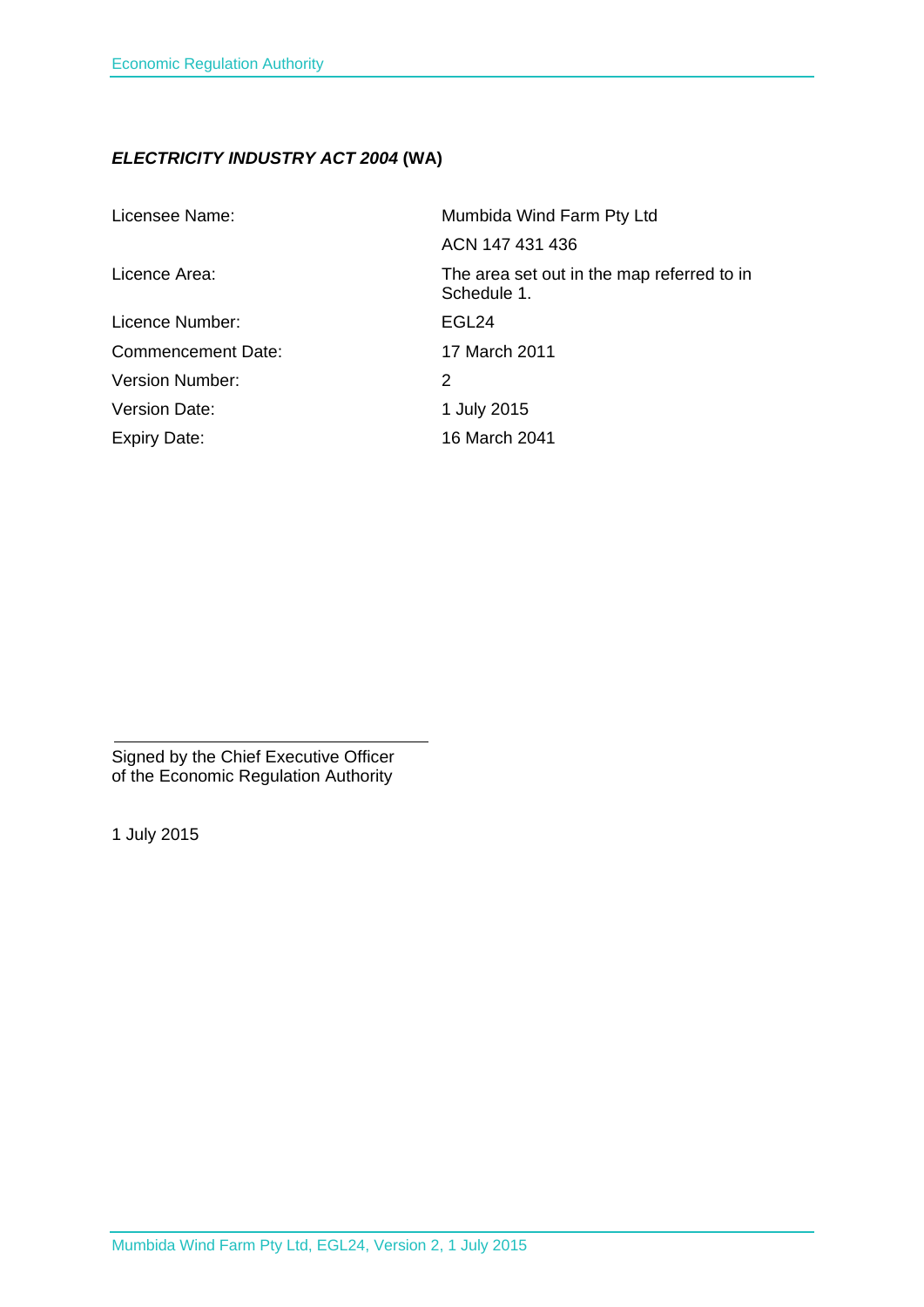# *ELECTRICITY INDUSTRY ACT 2004* **(WA)**

| Licensee Name:            | Mumbida Wind Farm Pty Ltd                                 |
|---------------------------|-----------------------------------------------------------|
|                           | ACN 147 431 436                                           |
| Licence Area:             | The area set out in the map referred to in<br>Schedule 1. |
| Licence Number:           | EGL24                                                     |
| <b>Commencement Date:</b> | 17 March 2011                                             |
| <b>Version Number:</b>    | 2                                                         |
| Version Date:             | 1 July 2015                                               |
| <b>Expiry Date:</b>       | 16 March 2041                                             |

Signed by the Chief Executive Officer of the Economic Regulation Authority

1 July 2015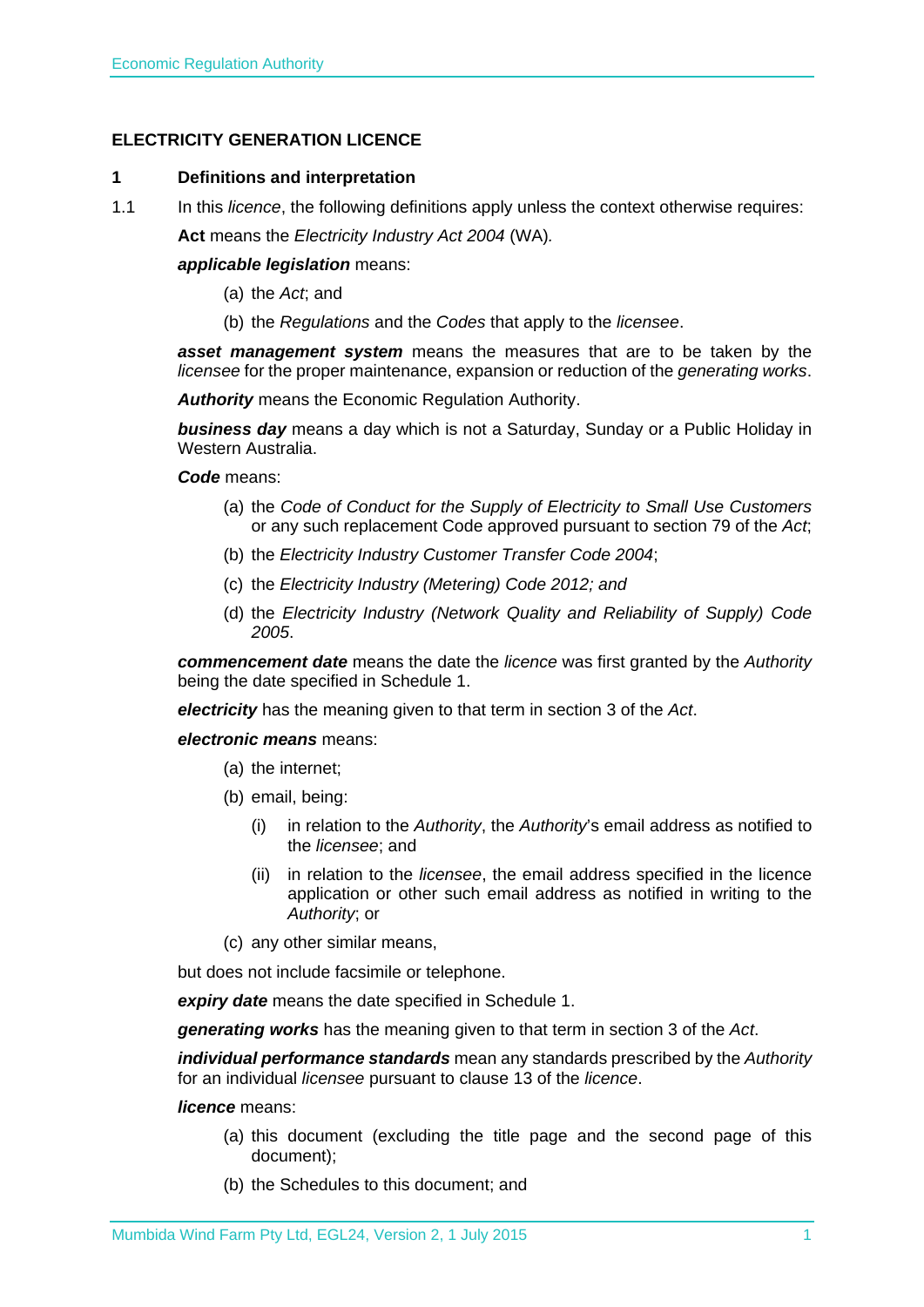## **ELECTRICITY GENERATION LICENCE**

#### **1 Definitions and interpretation**

1.1 In this *licence*, the following definitions apply unless the context otherwise requires:

**Act** means the *Electricity Industry Act 2004* (WA)*.*

#### *applicable legislation* means:

- (a) the *Act*; and
- (b) the *Regulations* and the *Codes* that apply to the *licensee*.

*asset management system* means the measures that are to be taken by the *licensee* for the proper maintenance, expansion or reduction of the *generating works*.

*Authority* means the Economic Regulation Authority.

*business day* means a day which is not a Saturday, Sunday or a Public Holiday in Western Australia.

#### *Code* means:

- (a) the *Code of Conduct for the Supply of Electricity to Small Use Customers* or any such replacement Code approved pursuant to section 79 of the *Act*;
- (b) the *Electricity Industry Customer Transfer Code 2004*;
- (c) the *Electricity Industry (Metering) Code 2012; and*
- (d) the *Electricity Industry (Network Quality and Reliability of Supply) Code 2005*.

*commencement date* means the date the *licence* was first granted by the *Authority* being the date specified in Schedule 1.

*electricity* has the meaning given to that term in section 3 of the *Act*.

#### *electronic means* means:

- (a) the internet;
- (b) email, being:
	- (i) in relation to the *Authority*, the *Authority*'s email address as notified to the *licensee*; and
	- (ii) in relation to the *licensee*, the email address specified in the licence application or other such email address as notified in writing to the *Authority*; or
- (c) any other similar means,

but does not include facsimile or telephone.

*expiry date* means the date specified in Schedule 1.

*generating works* has the meaning given to that term in section 3 of the *Act*.

*individual performance standards* mean any standards prescribed by the *Authority* for an individual *licensee* pursuant to clause 13 of the *licence*.

#### *licence* means:

- (a) this document (excluding the title page and the second page of this document);
- (b) the Schedules to this document; and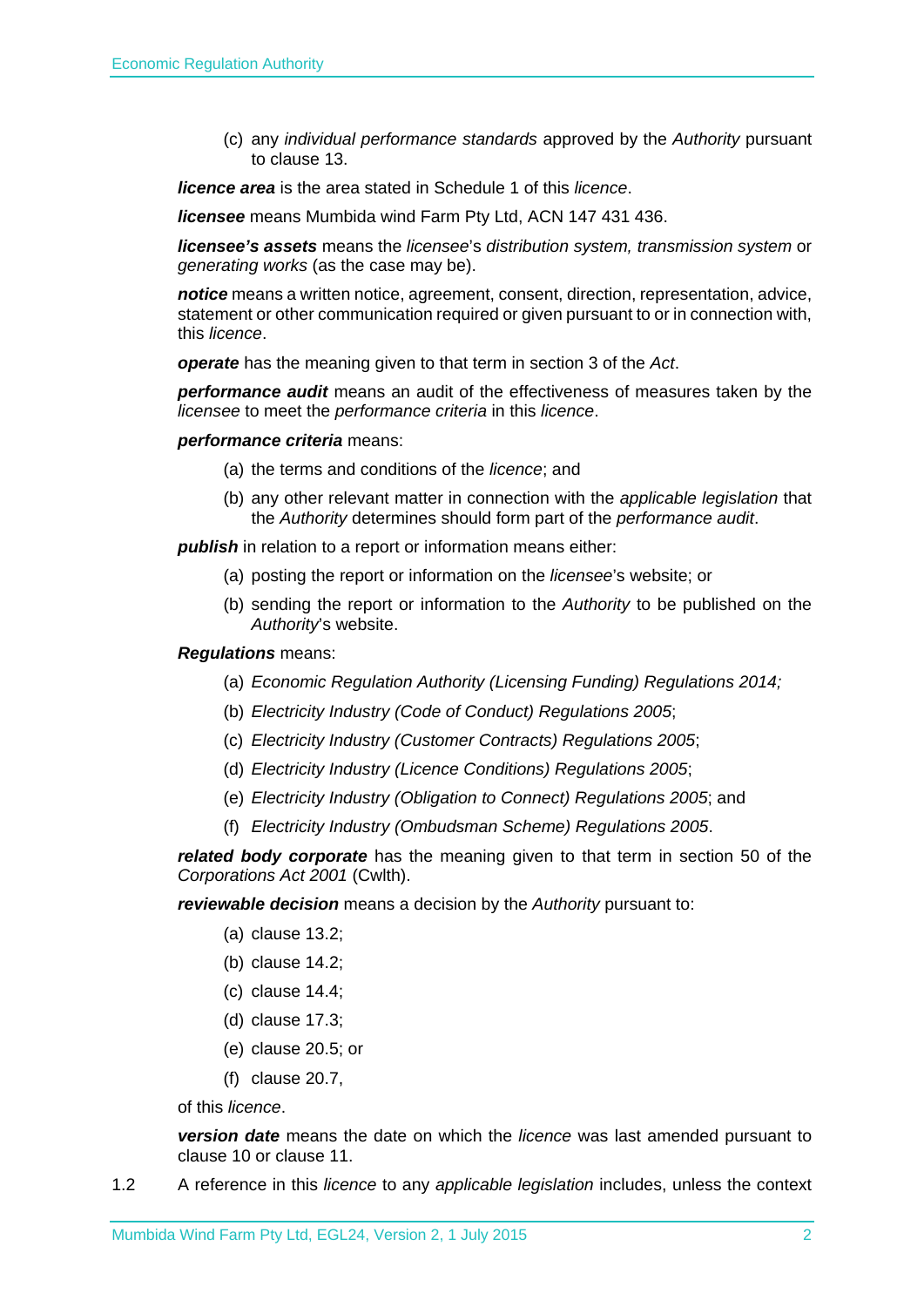(c) any *individual performance standards* approved by the *Authority* pursuant to clause 13.

*licence area* is the area stated in Schedule 1 of this *licence*.

*licensee* means Mumbida wind Farm Pty Ltd, ACN 147 431 436.

*licensee's assets* means the *licensee*'s *distribution system, transmission system* or *generating works* (as the case may be).

*notice* means a written notice, agreement, consent, direction, representation, advice, statement or other communication required or given pursuant to or in connection with, this *licence*.

*operate* has the meaning given to that term in section 3 of the *Act*.

*performance audit* means an audit of the effectiveness of measures taken by the *licensee* to meet the *performance criteria* in this *licence*.

*performance criteria* means:

- (a) the terms and conditions of the *licence*; and
- (b) any other relevant matter in connection with the *applicable legislation* that the *Authority* determines should form part of the *performance audit*.

*publish* in relation to a report or information means either:

- (a) posting the report or information on the *licensee*'s website; or
- (b) sending the report or information to the *Authority* to be published on the *Authority*'s website.

#### *Regulations* means:

- (a) *Economic Regulation Authority (Licensing Funding) Regulations 2014;*
- (b) *Electricity Industry (Code of Conduct) Regulations 2005*;
- (c) *Electricity Industry (Customer Contracts) Regulations 2005*;
- (d) *Electricity Industry (Licence Conditions) Regulations 2005*;
- (e) *Electricity Industry (Obligation to Connect) Regulations 2005*; and
- (f) *Electricity Industry (Ombudsman Scheme) Regulations 2005*.

*related body corporate* has the meaning given to that term in section 50 of the *Corporations Act 2001* (Cwlth).

*reviewable decision* means a decision by the *Authority* pursuant to:

- (a) clause 13.2;
- (b) clause 14.2;
- (c) clause 14.4;
- (d) clause 17.3;
- (e) clause 20.5; or
- (f) clause 20.7,

of this *licence*.

*version date* means the date on which the *licence* was last amended pursuant to clause 10 or clause 11.

1.2 A reference in this *licence* to any *applicable legislation* includes, unless the context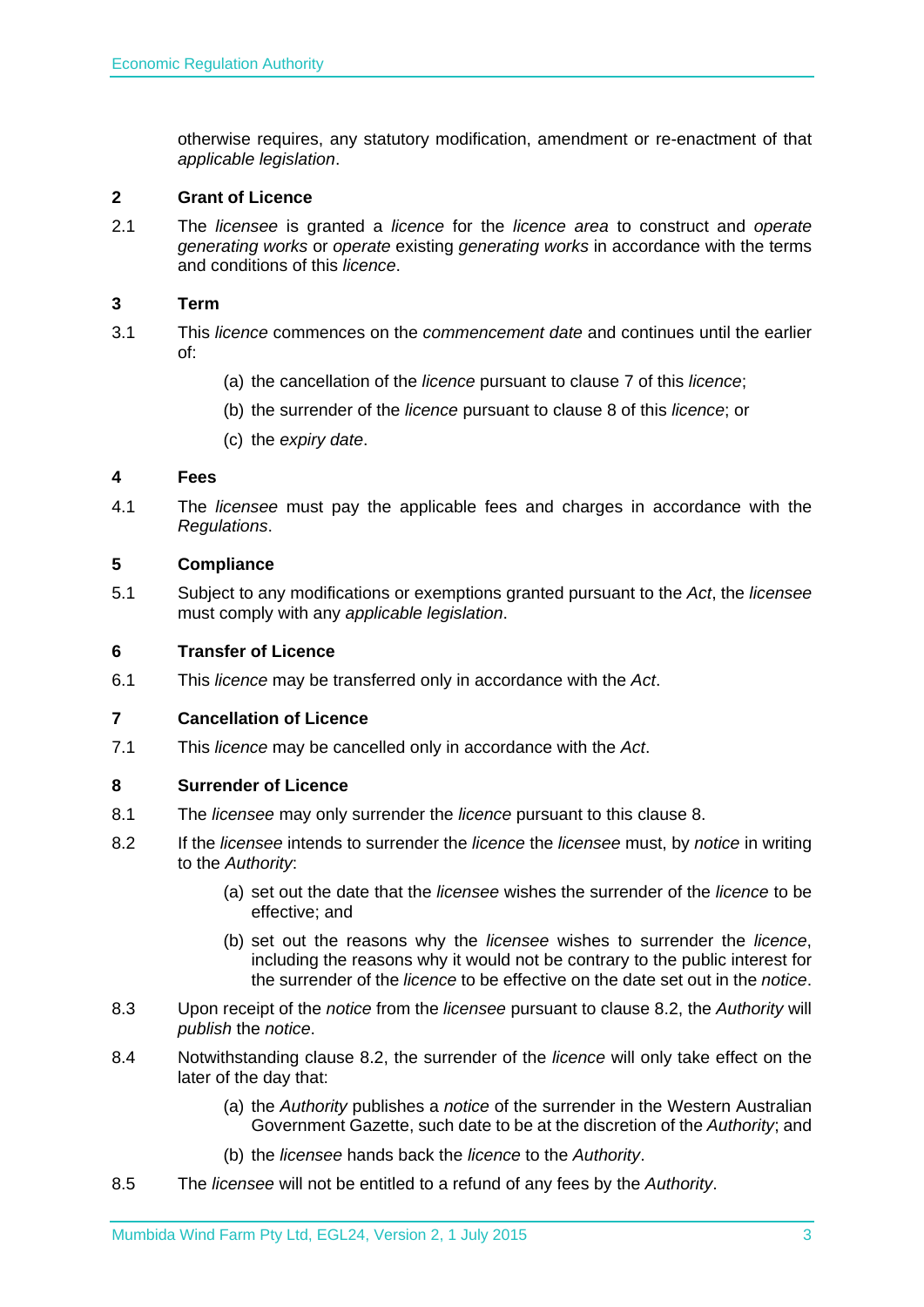otherwise requires, any statutory modification, amendment or re-enactment of that *applicable legislation*.

#### **2 Grant of Licence**

2.1 The *licensee* is granted a *licence* for the *licence area* to construct and *operate generating works* or *operate* existing *generating works* in accordance with the terms and conditions of this *licence*.

#### **3 Term**

- 3.1 This *licence* commences on the *commencement date* and continues until the earlier of:
	- (a) the cancellation of the *licence* pursuant to clause 7 of this *licence*;
	- (b) the surrender of the *licence* pursuant to clause 8 of this *licence*; or
	- (c) the *expiry date*.

#### **4 Fees**

4.1 The *licensee* must pay the applicable fees and charges in accordance with the *Regulations*.

#### **5 Compliance**

5.1 Subject to any modifications or exemptions granted pursuant to the *Act*, the *licensee* must comply with any *applicable legislation*.

#### **6 Transfer of Licence**

6.1 This *licence* may be transferred only in accordance with the *Act*.

#### **7 Cancellation of Licence**

7.1 This *licence* may be cancelled only in accordance with the *Act*.

#### **8 Surrender of Licence**

- 8.1 The *licensee* may only surrender the *licence* pursuant to this clause 8.
- 8.2 If the *licensee* intends to surrender the *licence* the *licensee* must, by *notice* in writing to the *Authority*:
	- (a) set out the date that the *licensee* wishes the surrender of the *licence* to be effective; and
	- (b) set out the reasons why the *licensee* wishes to surrender the *licence*, including the reasons why it would not be contrary to the public interest for the surrender of the *licence* to be effective on the date set out in the *notice*.
- 8.3 Upon receipt of the *notice* from the *licensee* pursuant to clause 8.2, the *Authority* will *publish* the *notice*.
- 8.4 Notwithstanding clause 8.2, the surrender of the *licence* will only take effect on the later of the day that:
	- (a) the *Authority* publishes a *notice* of the surrender in the Western Australian Government Gazette, such date to be at the discretion of the *Authority*; and
	- (b) the *licensee* hands back the *licence* to the *Authority*.
- 8.5 The *licensee* will not be entitled to a refund of any fees by the *Authority*.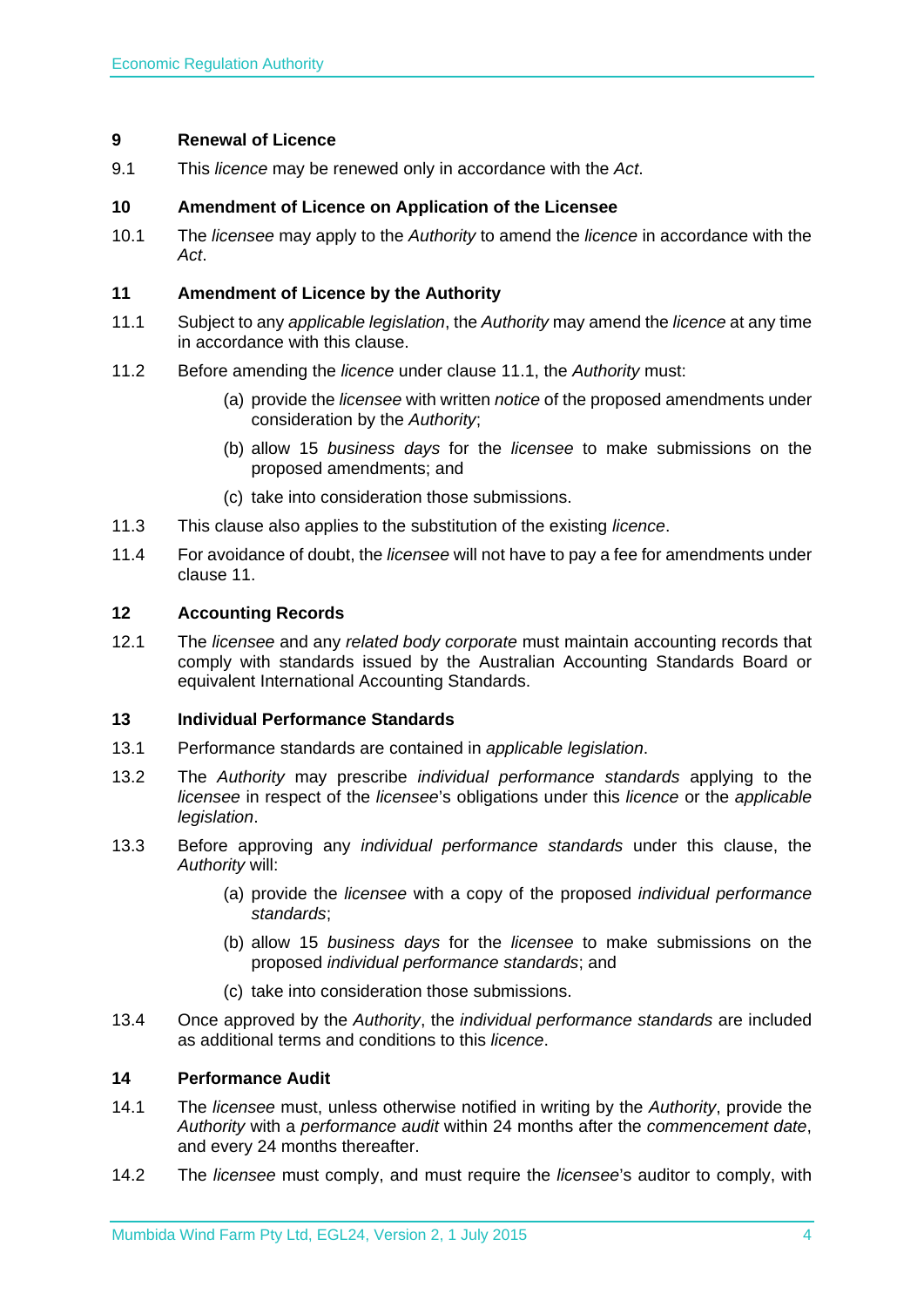#### **9 Renewal of Licence**

9.1 This *licence* may be renewed only in accordance with the *Act*.

#### **10 Amendment of Licence on Application of the Licensee**

10.1 The *licensee* may apply to the *Authority* to amend the *licence* in accordance with the *Act*.

#### **11 Amendment of Licence by the Authority**

- 11.1 Subject to any *applicable legislation*, the *Authority* may amend the *licence* at any time in accordance with this clause.
- 11.2 Before amending the *licence* under clause 11.1, the *Authority* must:
	- (a) provide the *licensee* with written *notice* of the proposed amendments under consideration by the *Authority*;
	- (b) allow 15 *business days* for the *licensee* to make submissions on the proposed amendments; and
	- (c) take into consideration those submissions.
- 11.3 This clause also applies to the substitution of the existing *licence*.
- 11.4 For avoidance of doubt, the *licensee* will not have to pay a fee for amendments under clause 11.

#### **12 Accounting Records**

12.1 The *licensee* and any *related body corporate* must maintain accounting records that comply with standards issued by the Australian Accounting Standards Board or equivalent International Accounting Standards.

#### **13 Individual Performance Standards**

- 13.1 Performance standards are contained in *applicable legislation*.
- 13.2 The *Authority* may prescribe *individual performance standards* applying to the *licensee* in respect of the *licensee*'s obligations under this *licence* or the *applicable legislation*.
- 13.3 Before approving any *individual performance standards* under this clause, the *Authority* will:
	- (a) provide the *licensee* with a copy of the proposed *individual performance standards*;
	- (b) allow 15 *business days* for the *licensee* to make submissions on the proposed *individual performance standards*; and
	- (c) take into consideration those submissions.
- 13.4 Once approved by the *Authority*, the *individual performance standards* are included as additional terms and conditions to this *licence*.

#### **14 Performance Audit**

- 14.1 The *licensee* must, unless otherwise notified in writing by the *Authority*, provide the *Authority* with a *performance audit* within 24 months after the *commencement date*, and every 24 months thereafter.
- 14.2 The *licensee* must comply, and must require the *licensee*'s auditor to comply, with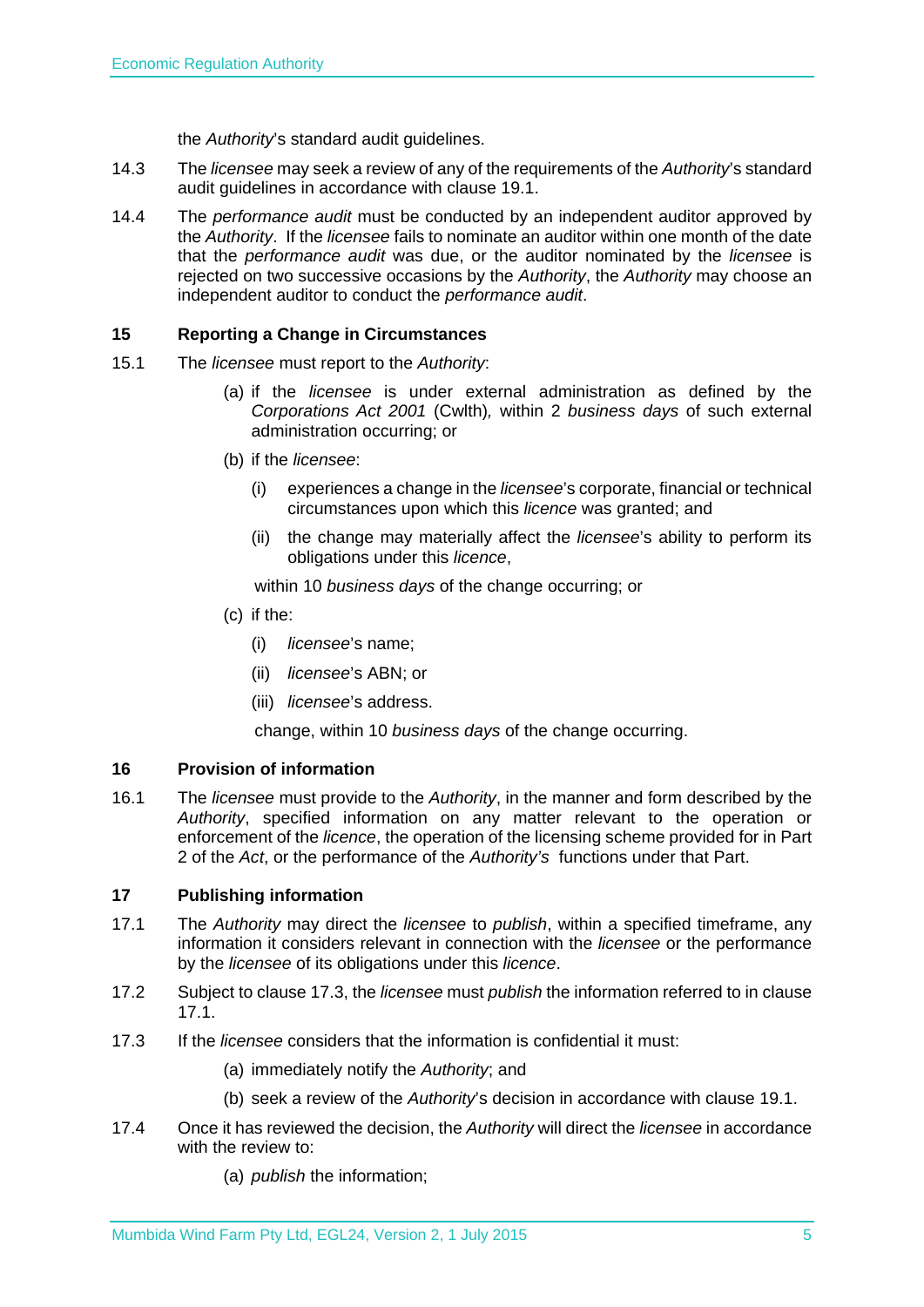the *Authority*'s standard audit guidelines.

- 14.3 The *licensee* may seek a review of any of the requirements of the *Authority*'s standard audit guidelines in accordance with clause 19.1.
- 14.4 The *performance audit* must be conducted by an independent auditor approved by the *Authority*. If the *licensee* fails to nominate an auditor within one month of the date that the *performance audit* was due, or the auditor nominated by the *licensee* is rejected on two successive occasions by the *Authority*, the *Authority* may choose an independent auditor to conduct the *performance audit*.

### **15 Reporting a Change in Circumstances**

- 15.1 The *licensee* must report to the *Authority*:
	- (a) if the *licensee* is under external administration as defined by the *Corporations Act 2001* (Cwlth)*,* within 2 *business days* of such external administration occurring; or
	- (b) if the *licensee*:
		- (i) experiences a change in the *licensee*'s corporate, financial or technical circumstances upon which this *licence* was granted; and
		- (ii) the change may materially affect the *licensee*'s ability to perform its obligations under this *licence*,

within 10 *business days* of the change occurring; or

- (c) if the:
	- (i) *licensee*'s name;
	- (ii) *licensee*'s ABN; or
	- (iii) *licensee*'s address.

change, within 10 *business days* of the change occurring.

#### **16 Provision of information**

16.1 The *licensee* must provide to the *Authority*, in the manner and form described by the *Authority*, specified information on any matter relevant to the operation or enforcement of the *licence*, the operation of the licensing scheme provided for in Part 2 of the *Act*, or the performance of the *Authority's* functions under that Part.

#### **17 Publishing information**

- 17.1 The *Authority* may direct the *licensee* to *publish*, within a specified timeframe, any information it considers relevant in connection with the *licensee* or the performance by the *licensee* of its obligations under this *licence*.
- 17.2 Subject to clause 17.3, the *licensee* must *publish* the information referred to in clause 17.1.
- 17.3 If the *licensee* considers that the information is confidential it must:
	- (a) immediately notify the *Authority*; and
	- (b) seek a review of the *Authority*'s decision in accordance with clause 19.1.
- 17.4 Once it has reviewed the decision, the *Authority* will direct the *licensee* in accordance with the review to:
	- (a) *publish* the information;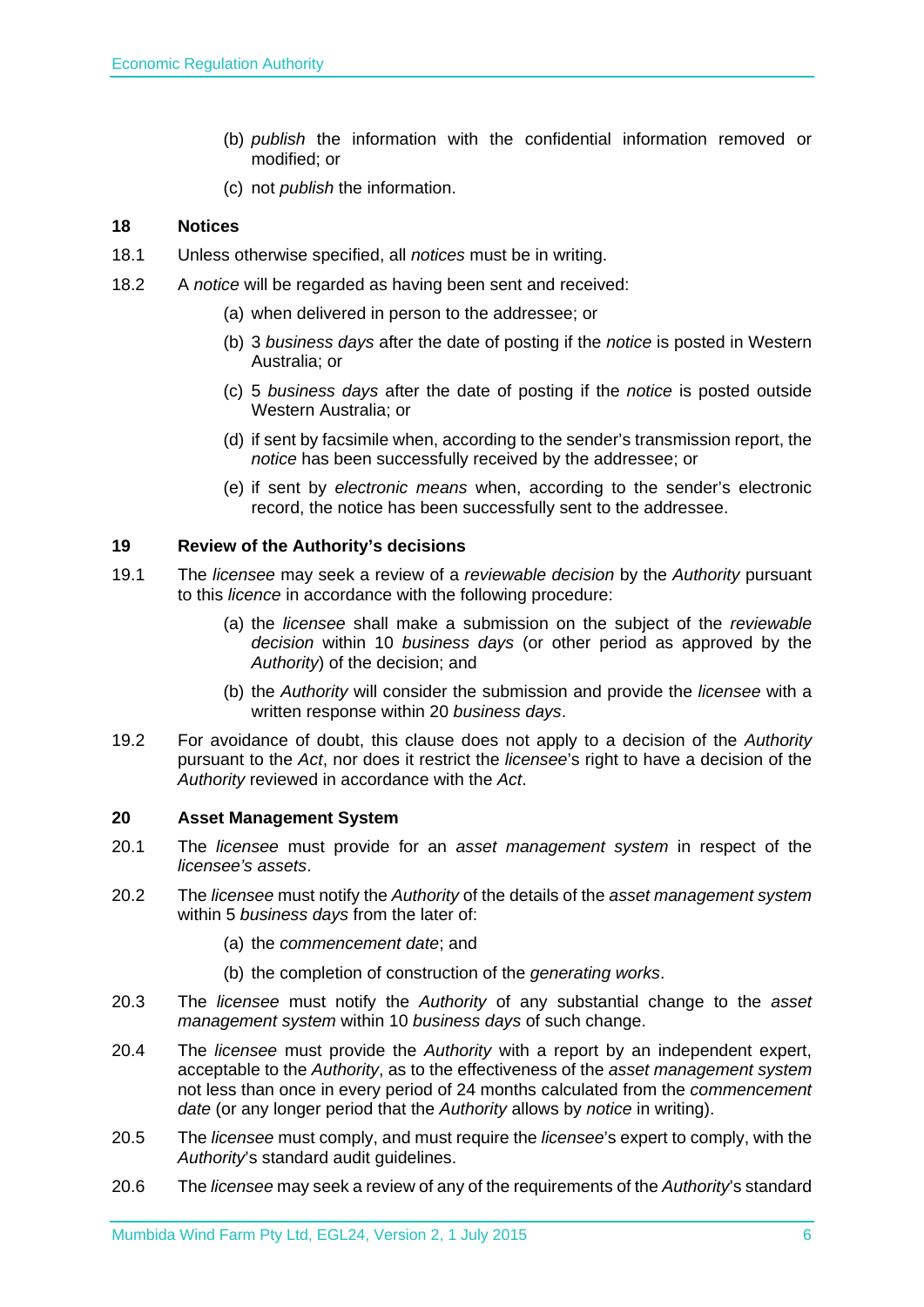- (b) *publish* the information with the confidential information removed or modified; or
- (c) not *publish* the information.

### **18 Notices**

- 18.1 Unless otherwise specified, all *notices* must be in writing.
- 18.2 A *notice* will be regarded as having been sent and received:
	- (a) when delivered in person to the addressee; or
	- (b) 3 *business days* after the date of posting if the *notice* is posted in Western Australia; or
	- (c) 5 *business days* after the date of posting if the *notice* is posted outside Western Australia; or
	- (d) if sent by facsimile when, according to the sender's transmission report, the *notice* has been successfully received by the addressee; or
	- (e) if sent by *electronic means* when, according to the sender's electronic record, the notice has been successfully sent to the addressee.

#### **19 Review of the Authority's decisions**

- 19.1 The *licensee* may seek a review of a *reviewable decision* by the *Authority* pursuant to this *licence* in accordance with the following procedure:
	- (a) the *licensee* shall make a submission on the subject of the *reviewable decision* within 10 *business days* (or other period as approved by the *Authority*) of the decision; and
	- (b) the *Authority* will consider the submission and provide the *licensee* with a written response within 20 *business days*.
- 19.2 For avoidance of doubt, this clause does not apply to a decision of the *Authority* pursuant to the *Act*, nor does it restrict the *licensee*'s right to have a decision of the *Authority* reviewed in accordance with the *Act*.

#### **20 Asset Management System**

- 20.1 The *licensee* must provide for an *asset management system* in respect of the *licensee's assets*.
- 20.2 The *licensee* must notify the *Authority* of the details of the *asset management system* within 5 *business days* from the later of:
	- (a) the *commencement date*; and
	- (b) the completion of construction of the *generating works*.
- 20.3 The *licensee* must notify the *Authority* of any substantial change to the *asset management system* within 10 *business days* of such change.
- 20.4 The *licensee* must provide the *Authority* with a report by an independent expert, acceptable to the *Authority*, as to the effectiveness of the *asset management system* not less than once in every period of 24 months calculated from the *commencement date* (or any longer period that the *Authority* allows by *notice* in writing).
- 20.5 The *licensee* must comply, and must require the *licensee*'s expert to comply, with the *Authority*'s standard audit guidelines.
- 20.6 The *licensee* may seek a review of any of the requirements of the *Authority*'s standard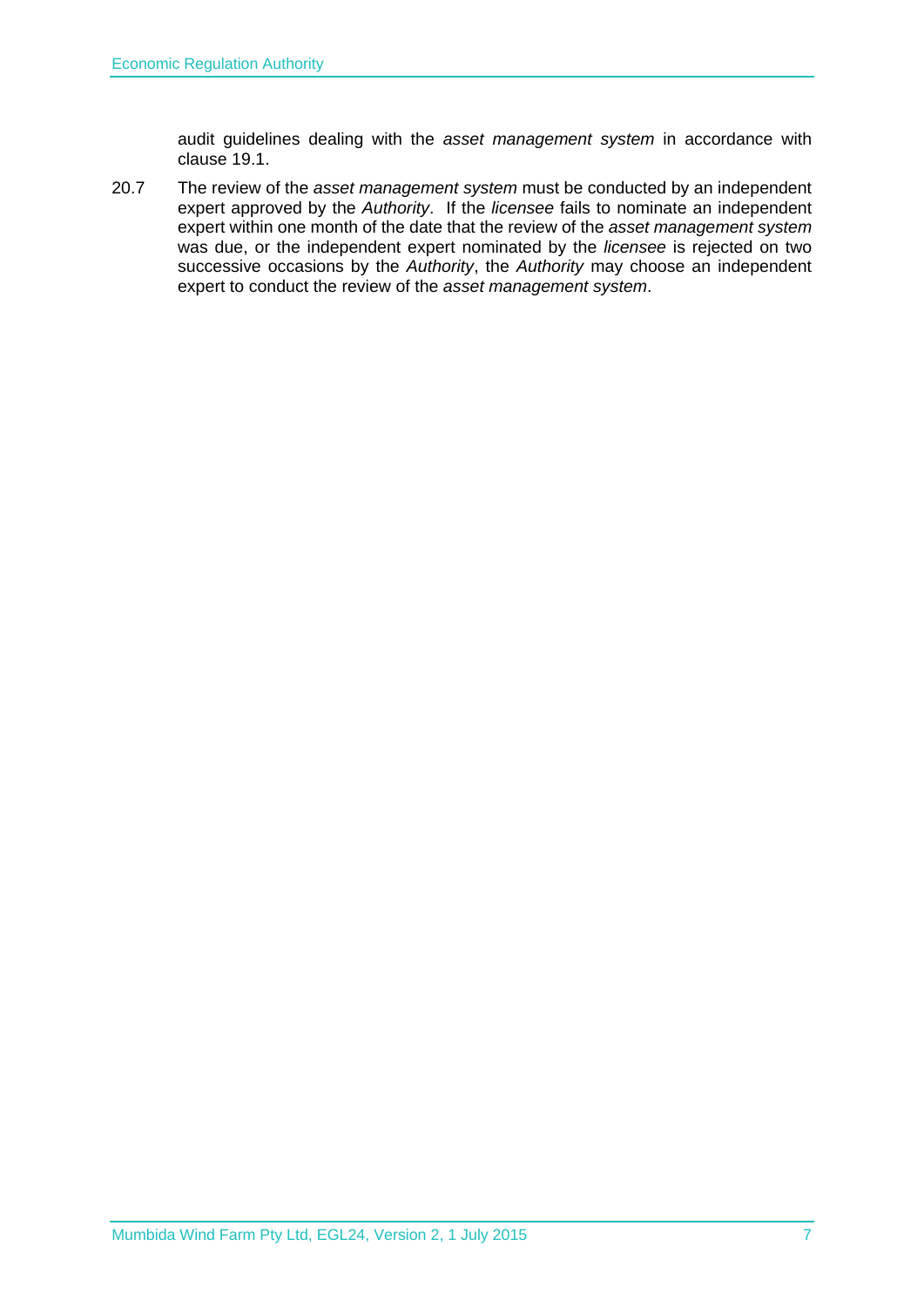audit guidelines dealing with the *asset management system* in accordance with clause 19.1.

20.7 The review of the *asset management system* must be conducted by an independent expert approved by the *Authority*. If the *licensee* fails to nominate an independent expert within one month of the date that the review of the *asset management system* was due, or the independent expert nominated by the *licensee* is rejected on two successive occasions by the *Authority*, the *Authority* may choose an independent expert to conduct the review of the *asset management system*.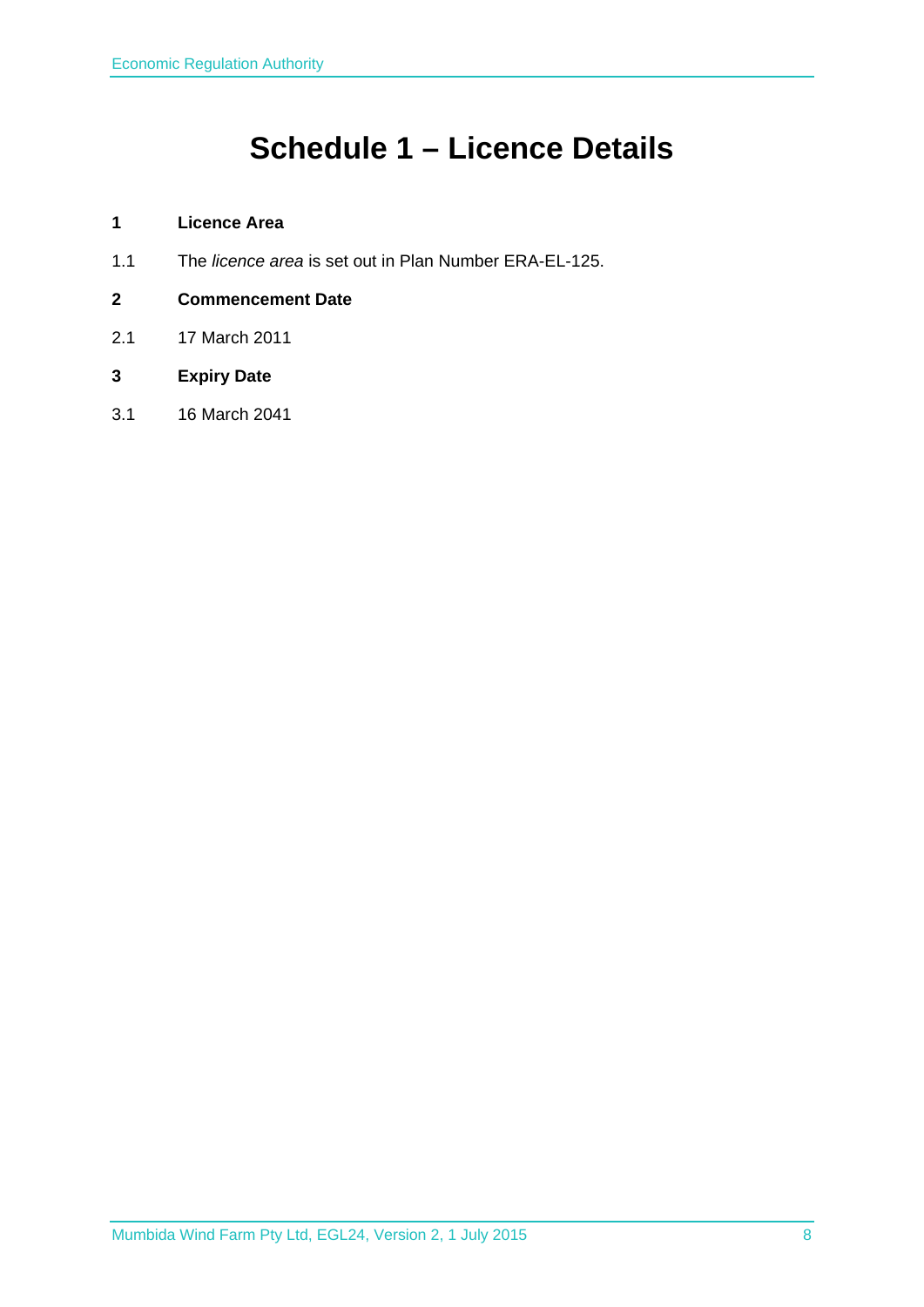# **Schedule 1 – Licence Details**

## **1 Licence Area**

- 1.1 The *licence area* is set out in Plan Number ERA-EL-125.
- **2 Commencement Date**
- 2.1 17 March 2011
- **3 Expiry Date**
- 3.1 16 March 2041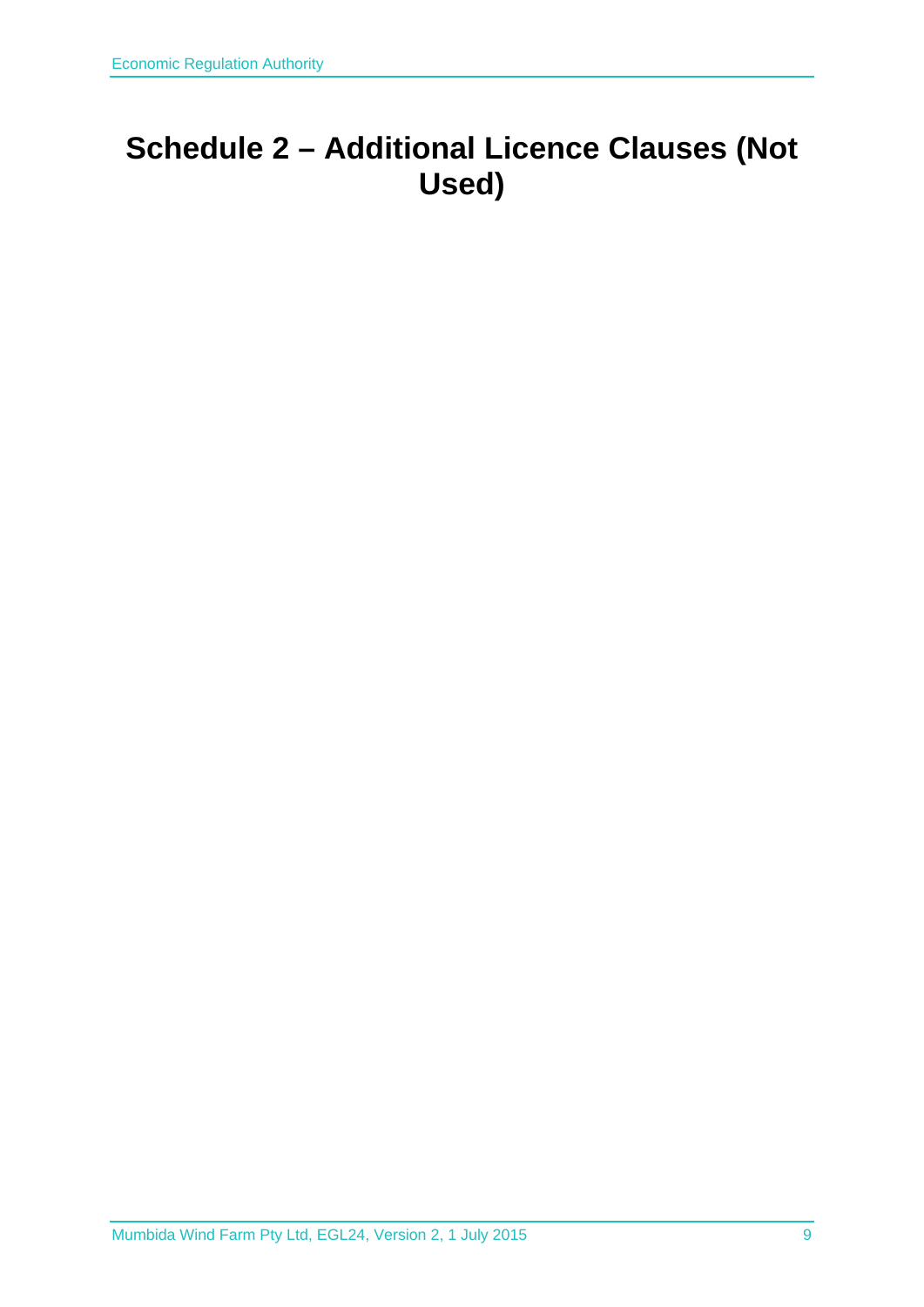# **Schedule 2 – Additional Licence Clauses (Not Used)**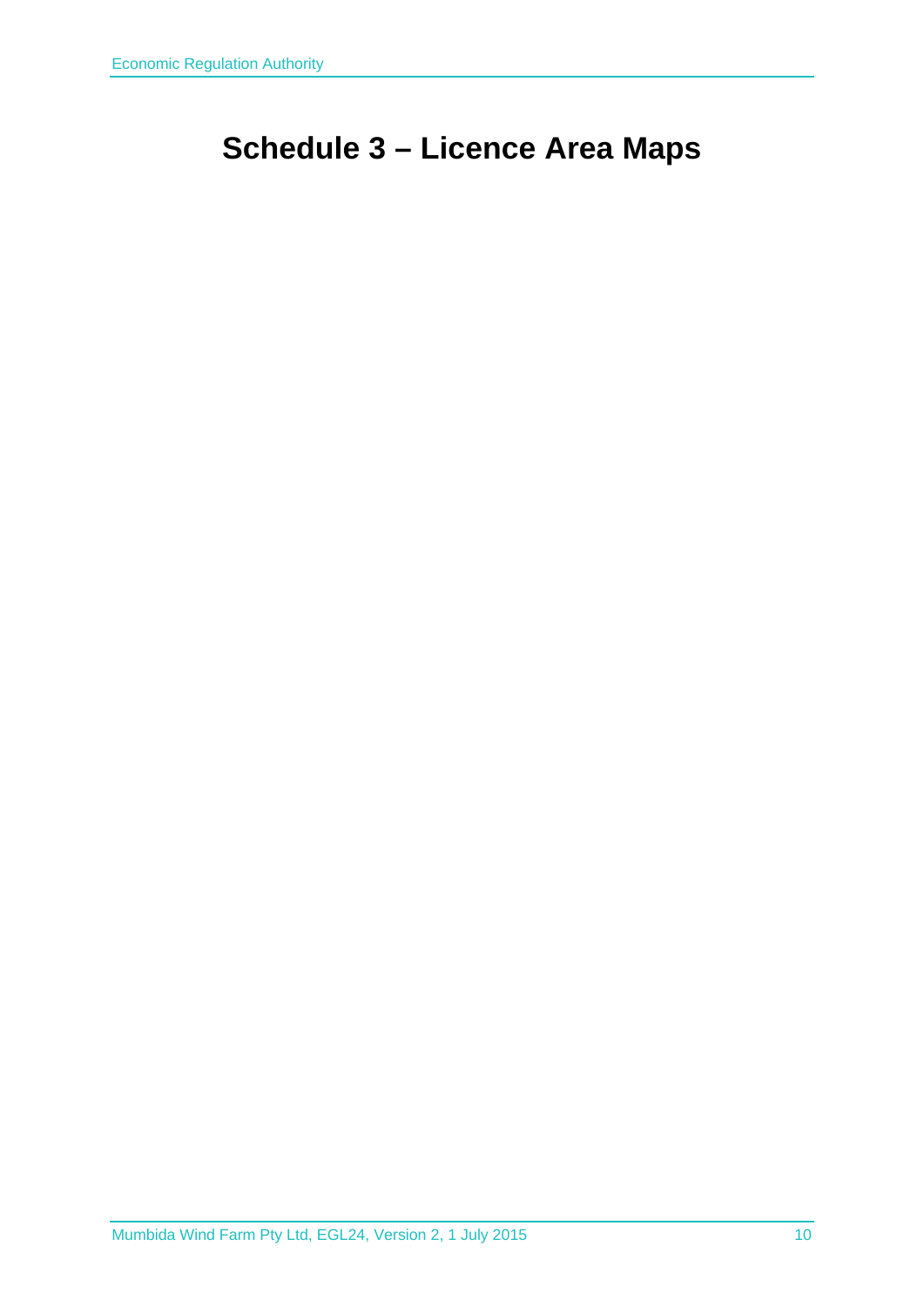# **Schedule 3 – Licence Area Maps**